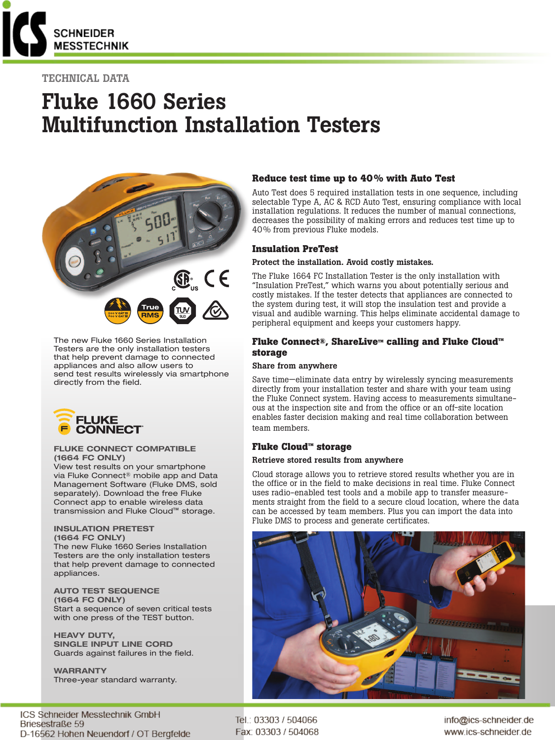

# TECHNICAL DATA

# Fluke 1660 Series Multifunction Installation Testers



The new Fluke 1660 Series Installation Testers are the only installation testers that help prevent damage to connected appliances and also allow users to send test results wirelessly via smartphone directly from the field.



#### FLUKE CONNECT COMPATIBLE (1664 FC ONLY)

View test results on your smartphone via Fluke Connect® mobile app and Data Management Software (Fluke DMS, sold separately). Download the free Fluke Connect app to enable wireless data transmission and Fluke Cloud™ storage.

#### INSULATION PRETEST (1664 FC ONLY)

The new Fluke 1660 Series Installation Testers are the only installation testers that help prevent damage to connected appliances.

AUTO TEST SEQUENCE (1664 FC ONLY) Start a sequence of seven critical tests with one press of the TEST button.

HEAVY DUTY, SINGLE INPUT LINE CORD Guards against failures in the field.

WARRANTY Three-year standard warranty.

ICS Schneider Messtechnik GmbH Briesestraße 59 D-16562 Hohen Neuendorf / OT Bergfelde

## **Reduce test time up to 40% with Auto Test**

Auto Test does 5 required installation tests in one sequence, including selectable Type A, AC & RCD Auto Test, ensuring compliance with local installation regulations. It reduces the number of manual connections, decreases the possibility of making errors and reduces test time up to 40% from previous Fluke models.

## **Insulation PreTest**

#### Protect the installation. Avoid costly mistakes.

The Fluke 1664 FC Installation Tester is the only installation with "Insulation PreTest," which warns you about potentially serious and costly mistakes. If the tester detects that appliances are connected to the system during test, it will stop the insulation test and provide a visual and audible warning. This helps eliminate accidental damage to peripheral equipment and keeps your customers happy.

## **Fluke Connect®, ShareLive™ calling and Fluke Cloud™ storage**

#### Share from anywhere

Save time—eliminate data entry by wirelessly syncing measurements directly from your installation tester and share with your team using the Fluke Connect system. Having access to measurements simultaneous at the inspection site and from the office or an off-site location enables faster decision making and real time collaboration between team members.

## **Fluke Cloud™ storage**

#### Retrieve stored results from anywhere

Cloud storage allows you to retrieve stored results whether you are in the office or in the field to make decisions in real time. Fluke Connect uses radio-enabled test tools and a mobile app to transfer measurements straight from the field to a secure cloud location, where the data can be accessed by team members. Plus you can import the data into Fluke DMS to process and generate certificates.



Tel.: 03303 / 504066 Fax: 03303 / 504068 info@ics-schneider.de www.ics-schneider.de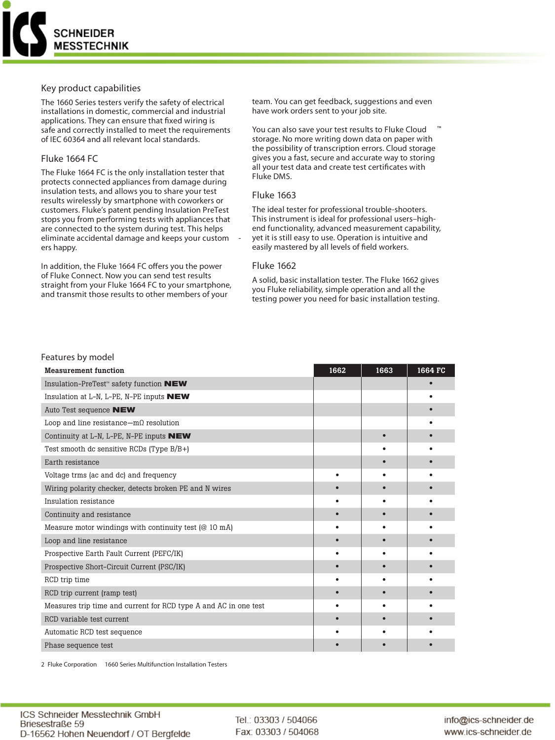

### **Key product capabilities**

The 1660 Series testers verify the safety of electrical installations in domestic, commercial and industrial applications. They can ensure that fixed wiring is safe and correctly installed to meet the requirements of IEC 60364 and all relevant local standards.

# **Fluke 1664 FC**

The Fluke 1664 FC is the only installation tester that protects connected appliances from damage during insulation tests, and allows you to share your test results wirelessly by smartphone with coworkers or customers. Fluke's patent pending Insulation PreTest stops you from performing tests with appliances that are connected to the system during test. This helps eliminate accidental damage and keeps your custom ers happy.

In addition, the Fluke 1664 FC offers you the power of Fluke Connect. Now you can send test results straight from your Fluke 1664 FC to your smartphone, and transmit those results to other members of your

team. You can get feedback, suggestions and even have work orders sent to your job site.

You can also save your test results to Fluke Cloud storage. No more writing down data on paper with the possibility of transcription errors. Cloud storage gives you a fast, secure and accurate way to storing all your test data and create test certificates with Fluke DMS.

## **Fluke 1663**

The ideal tester for professional trouble-shooters. This instrument is ideal for professional users–highend functionality, advanced measurement capability, yet it is still easy to use. Operation is intuitive and easily mastered by all levels of field workers.

## **Fluke 1662**

A solid, basic installation tester. The Fluke 1662 gives you Fluke reliability, simple operation and all the testing power you need for basic installation testing.

# **Features by model**

| <b>Measurement function</b>                                      | 1662 | 1663 | 1664 FC |
|------------------------------------------------------------------|------|------|---------|
| Insulation-PreTest <sup>™</sup> safety function <b>NEW</b>       |      |      |         |
| Insulation at L-N, L-PE, N-PE inputs <b>NEW</b>                  |      |      |         |
| Auto Test sequence <b>NEW</b>                                    |      |      |         |
| Loop and line resistance $-m\Omega$ resolution                   |      |      |         |
| Continuity at L-N, L-PE, N-PE inputs NEW                         |      |      |         |
| Test smooth dc sensitive RCDs (Type B/B+)                        |      |      |         |
| Earth resistance                                                 |      |      |         |
| Voltage trms (ac and dc) and frequency                           |      |      |         |
| Wiring polarity checker, detects broken PE and N wires           |      |      |         |
| Insulation resistance                                            |      |      |         |
| Continuity and resistance                                        |      |      |         |
| Measure motor windings with continuity test (@ 10 mA)            |      |      |         |
| Loop and line resistance                                         |      |      |         |
| Prospective Earth Fault Current (PEFC/IK)                        |      |      |         |
| Prospective Short-Circuit Current (PSC/IK)                       |      |      |         |
| RCD trip time                                                    |      |      |         |
| RCD trip current (ramp test)                                     |      |      |         |
| Measures trip time and current for RCD type A and AC in one test |      |      |         |
| RCD variable test current                                        |      |      |         |
| Automatic RCD test sequence                                      |      |      |         |
| Phase sequence test                                              |      |      |         |

2 Fluke Corporation 1660 Series Multifunction Installation Testers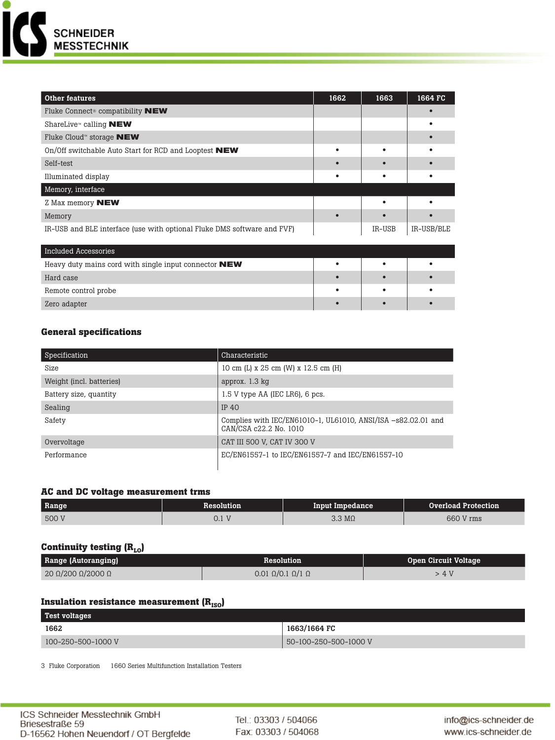

| Other features                                                          | 1662 | 1663   | 1664 FC    |
|-------------------------------------------------------------------------|------|--------|------------|
| Fluke Connect <sup>®</sup> compatibility <b>NEW</b>                     |      |        |            |
| ShareLive <sup>™</sup> calling <b>NEW</b>                               |      |        |            |
| Fluke Cloud™ storage NEW                                                |      |        |            |
| On/Off switchable Auto Start for RCD and Looptest NEW                   |      |        |            |
| Self-test                                                               |      |        |            |
| Illuminated display                                                     |      |        |            |
| Memory, interface                                                       |      |        |            |
| Z Max memory <b>NEW</b>                                                 |      |        |            |
| Memory                                                                  |      |        |            |
| IR-USB and BLE interface (use with optional Fluke DMS software and FVF) |      | IR-USB | IR-USB/BLE |
|                                                                         |      |        |            |
| <b>Included Accessories</b>                                             |      |        |            |
| Heavy duty mains cord with single input connector <b>NEW</b>            |      |        |            |
| Hard case                                                               |      |        |            |
| Remote control probe                                                    |      |        |            |
| Zero adapter                                                            |      |        |            |

# **General specifications**

| Specification            | Characteristic                                                                          |
|--------------------------|-----------------------------------------------------------------------------------------|
| Size                     | 10 cm (L) x 25 cm (W) x 12.5 cm (H)                                                     |
| Weight (incl. batteries) | approx. 1.3 kg                                                                          |
| Battery size, quantity   | 1.5 V type AA (IEC LR6), 6 pcs.                                                         |
| Sealing                  | IP $40$                                                                                 |
| Safety                   | Complies with IEC/EN61010-1, UL61010, ANSI/ISA -s82.02.01 and<br>CAN/CSA c22.2 No. 1010 |
| Overvoltage              | CAT III 500 V, CAT IV 300 V                                                             |
| Performance              | EC/EN61557-1 to IEC/EN61557-7 and IEC/EN61557-10                                        |

# **AC and DC voltage measurement trms**

| Range | <b>Resolution</b>            | Input Impedance       | Overload Protection |
|-------|------------------------------|-----------------------|---------------------|
| 500 V | T<br>$\mathsf{U}.\mathsf{I}$ | $3.3 \text{ M}\Omega$ | 660 V rms           |

# **Continuity testing (R<sub>LO</sub>)**

| Range (Autoranging) | Resolution                        | <b>Open Circuit Voltage</b> |
|---------------------|-----------------------------------|-----------------------------|
| 20 Ω/200 Ω/2000 Ω   | $0.01 \Omega/0.1 \Omega/1 \Omega$ | . 4 V                       |

# **Insulation resistance measurement (R<sub>ISO</sub>)**

| <b>Test voltages</b> |                       |
|----------------------|-----------------------|
| 1662                 | 1663/1664 FC          |
| 100-250-500-1000 V   | 50-100-250-500-1000 V |

3 Fluke Corporation 1660 Series Multifunction Installation Testers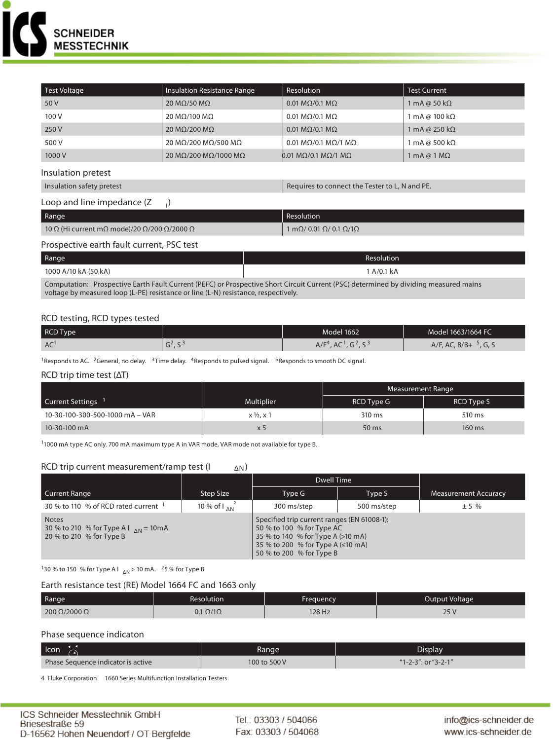

| Test Voltage                                                                                                                                                                                                               | <b>Insulation Resistance Range</b> | Resolution                                              | <b>Test Current</b>                |  |
|----------------------------------------------------------------------------------------------------------------------------------------------------------------------------------------------------------------------------|------------------------------------|---------------------------------------------------------|------------------------------------|--|
| 50 V                                                                                                                                                                                                                       | 20 M $\Omega$ /50 M $\Omega$       | 0.01 M $\Omega$ /0.1 M $\Omega$                         | 1 mA @ 50 k $\Omega$               |  |
| 100 V                                                                                                                                                                                                                      | 20 ΜΩ/100 ΜΩ                       | 0.01 M $\Omega$ /0.1 M $\Omega$                         | 1 mA @ 100 kΩ                      |  |
| 250 V                                                                                                                                                                                                                      | 20 M $\Omega$ /200 M $\Omega$      | 0.01 M $\Omega$ /0.1 M $\Omega$                         | 1 mA @ 250 k $\Omega$              |  |
| 500 V                                                                                                                                                                                                                      | 20 ΜΩ/200 ΜΩ/500 ΜΩ                | 0.01 M $\Omega$ /0.1 M $\Omega$ /1 M $\Omega$           | 1 mA @ 500 k $\Omega$              |  |
| 1000V                                                                                                                                                                                                                      | 20 ΜΩ/200 ΜΩ/1000 ΜΩ               | 0.01 MΩ/0.1 MΩ/1 MΩ                                     | $1 \text{ mA} @ 1 \text{ M}\Omega$ |  |
| Insulation pretest                                                                                                                                                                                                         |                                    |                                                         |                                    |  |
| Insulation safety pretest                                                                                                                                                                                                  |                                    | Requires to connect the Tester to L, N and PE.          |                                    |  |
| Loop and line impedance (Z                                                                                                                                                                                                 | $\cdot$                            |                                                         |                                    |  |
| Range                                                                                                                                                                                                                      |                                    | Resolution                                              |                                    |  |
| 10 Ω (Hi current mΩ mode)/20 Ω/200 Ω/2000 Ω                                                                                                                                                                                |                                    | 1 m $\Omega$ / 0.01 $\Omega$ / 0.1 $\Omega$ /1 $\Omega$ |                                    |  |
| Prospective earth fault current, PSC test                                                                                                                                                                                  |                                    |                                                         |                                    |  |
| Range                                                                                                                                                                                                                      | Resolution                         |                                                         |                                    |  |
| 1000 A/10 kA (50 kA)                                                                                                                                                                                                       |                                    | 1 A/0.1 kA                                              |                                    |  |
| Computation: Prospective Earth Fault Current (PEFC) or Prospective Short Circuit Current (PSC) determined by dividing measured mains<br>voltage by measured loop (L-PE) resistance or line (L-N) resistance, respectively. |                                    |                                                         |                                    |  |

# **RCD testing, RCD types tested**

| RCD Type |      | Model 1662                                                               | Model 1663/1664 FC       |
|----------|------|--------------------------------------------------------------------------|--------------------------|
| AC       | د, ب | , G <sup>2</sup> , S <sup>3</sup><br>A/F <sup>4</sup><br>AC <sup>1</sup> | $A/F$ , AC, B/B+<br>G, S |

<sup>1</sup>Responds to AC. <sup>2</sup>General, no delay. <sup>3</sup>Time delay. <sup>4</sup>Responds to pulsed signal. <sup>5</sup>Responds to smooth DC signal.

### **RCD trip time test (ΔT)**

|                                 |                       | Measurement Range |                   |
|---------------------------------|-----------------------|-------------------|-------------------|
| Current Settings                | <b>Multiplier</b>     | <b>RCD Type G</b> | <b>RCD Type S</b> |
| 10-30-100-300-500-1000 mA - VAR | $x \frac{1}{2}$ , x 1 | 310 ms            | 510 ms            |
| 10-30-100 mA                    | $\times$ 5            | 50 ms             | 160 ms            |

11000 mA type AC only. 700 mA maximum type A in VAR mode, VAR mode not available for type B.

#### **RCD trip current measurement/ramp test (I ΔN)**

|                                                                                                |                              | Dwell Time                                                                                                                                                                     |             |                             |
|------------------------------------------------------------------------------------------------|------------------------------|--------------------------------------------------------------------------------------------------------------------------------------------------------------------------------|-------------|-----------------------------|
| Current Range                                                                                  | Step Size                    | Type G                                                                                                                                                                         | Type S      | <b>Measurement Accuracy</b> |
| 30 % to 110 % of RCD rated current <sup>1</sup>                                                | 10 % of $\int_{\Lambda N}^2$ | 300 ms/step                                                                                                                                                                    | 500 ms/step | ± 5%                        |
| <b>Notes</b><br>30 % to 210 % for Type A I $_{\text{AN}}$ = 10 m A<br>20 % to 210 % for Type B |                              | Specified trip current ranges (EN 61008-1):<br>50 % to 100 % for Type AC<br>35 % to 140 % for Type A (>10 mA)<br>35 % to 200 % for Type A (≤10 mA)<br>50 % to 200 % for Type B |             |                             |

<sup>1</sup>30 % to 150 % for Type A I  $_{\Delta N}$  > 10 mA. <sup>2</sup>5 % for Type B

# **Earth resistance test (RE) Model 1664 FC and 1663 only**

| Range                    | Resolution           | Frequency | Output Voltage |
|--------------------------|----------------------|-----------|----------------|
| $200 \Omega/2000 \Omega$ | $0.1 \Omega/1\Omega$ | 128 Hz    | $\Gamma$<br>رے |

## **Phase sequence indicaton**

| Icon                               | Range        | Display             |
|------------------------------------|--------------|---------------------|
| Phase Sequence indicator is active | 100 to 500 V | "1-2-3": or "3-2-1" |

4 Fluke Corporation 1660 Series Multifunction Installation Testers

Tel.: 03303 / 504066 Fax: 03303 / 504068